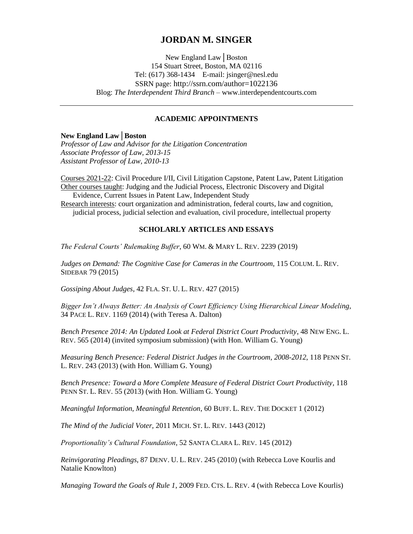# **JORDAN M. SINGER**

New England Law│Boston 154 Stuart Street, Boston, MA 02116 Tel: (617) 368-1434 E-mail: jsinger@nesl.edu SSRN page: http://ssrn.com/author=1022136 Blog: *The Interdependent Third Branch* – www.interdependentcourts.com

### **ACADEMIC APPOINTMENTS**

### **New England Law│Boston**

*Professor of Law and Advisor for the Litigation Concentration Associate Professor of Law, 2013-15 Assistant Professor of Law, 2010-13*

Courses 2021-22: Civil Procedure I/II, Civil Litigation Capstone, Patent Law, Patent Litigation Other courses taught: Judging and the Judicial Process, Electronic Discovery and Digital Evidence, Current Issues in Patent Law, Independent Study

Research interests: court organization and administration, federal courts, law and cognition, judicial process, judicial selection and evaluation, civil procedure, intellectual property

### **SCHOLARLY ARTICLES AND ESSAYS**

*The Federal Courts' Rulemaking Buffer*, 60 WM. & MARY L. REV. 2239 (2019)

Judges on Demand: The Cognitive Case for Cameras in the Courtroom, 115 COLUM. L. REV. SIDEBAR 79 (2015)

*Gossiping About Judges*, 42 FLA. ST. U. L. REV. 427 (2015)

*Bigger Isn't Always Better: An Analysis of Court Efficiency Using Hierarchical Linear Modeling,*  34 PACE L. REV. 1169 (2014) (with Teresa A. Dalton)

*Bench Presence 2014: An Updated Look at Federal District Court Productivity*, 48 NEW ENG. L. REV. 565 (2014) (invited symposium submission) (with Hon. William G. Young)

*Measuring Bench Presence: Federal District Judges in the Courtroom, 2008-2012*, 118 PENN ST. L. REV. 243 (2013) (with Hon. William G. Young)

Bench Presence: Toward a More Complete Measure of Federal District Court Productivity, 118 PENN ST. L. REV. 55 (2013) (with Hon. William G. Young)

*Meaningful Information, Meaningful Retention*, 60 BUFF. L. REV. THE DOCKET 1 (2012)

*The Mind of the Judicial Voter,* 2011 MICH. ST. L. REV. 1443 (2012)

*Proportionality's Cultural Foundation*, 52 SANTA CLARA L. REV. 145 (2012)

*Reinvigorating Pleadings*, 87 DENV. U. L. REV. 245 (2010) (with Rebecca Love Kourlis and Natalie Knowlton)

*Managing Toward the Goals of Rule 1*, 2009 FED. CTS. L. REV. 4 (with Rebecca Love Kourlis)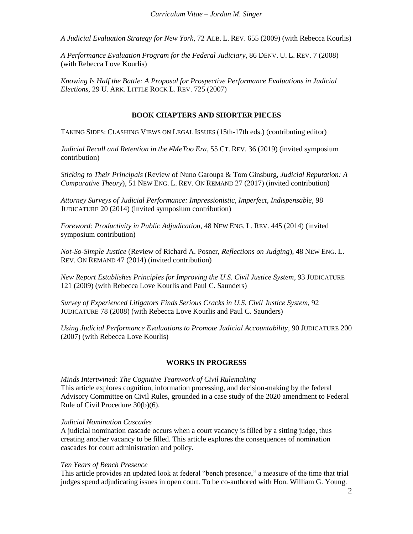*A Judicial Evaluation Strategy for New York*, 72 ALB. L. REV. 655 (2009) (with Rebecca Kourlis)

*A Performance Evaluation Program for the Federal Judiciary*, 86 DENV. U. L. REV. 7 (2008) (with Rebecca Love Kourlis)

*Knowing Is Half the Battle: A Proposal for Prospective Performance Evaluations in Judicial Elections*, 29 U. ARK. LITTLE ROCK L. REV. 725 (2007)

#### **BOOK CHAPTERS AND SHORTER PIECES**

TAKING SIDES: CLASHING VIEWS ON LEGAL ISSUES (15th-17th eds.) (contributing editor)

*Judicial Recall and Retention in the #MeToo Era*, 55 CT. REV. 36 (2019) (invited symposium contribution)

*Sticking to Their Principals* (Review of Nuno Garoupa & Tom Ginsburg, *Judicial Reputation: A Comparative Theory*), 51 NEW ENG. L. REV. ON REMAND 27 (2017) (invited contribution)

*Attorney Surveys of Judicial Performance: Impressionistic, Imperfect, Indispensable*, 98 JUDICATURE 20 (2014) (invited symposium contribution)

*Foreword: Productivity in Public Adjudication,* 48 NEW ENG. L. REV. 445 (2014) (invited symposium contribution)

*Not-So-Simple Justice* (Review of Richard A. Posner, *Reflections on Judging*), 48 NEW ENG. L. REV. ON REMAND 47 (2014) (invited contribution)

*New Report Establishes Principles for Improving the U.S. Civil Justice System*, 93 JUDICATURE 121 (2009) (with Rebecca Love Kourlis and Paul C. Saunders)

*Survey of Experienced Litigators Finds Serious Cracks in U.S. Civil Justice System*, 92 JUDICATURE 78 (2008) (with Rebecca Love Kourlis and Paul C. Saunders)

*Using Judicial Performance Evaluations to Promote Judicial Accountability*, 90 JUDICATURE 200 (2007) (with Rebecca Love Kourlis)

#### **WORKS IN PROGRESS**

*Minds Intertwined: The Cognitive Teamwork of Civil Rulemaking* This article explores cognition, information processing, and decision-making by the federal Advisory Committee on Civil Rules, grounded in a case study of the 2020 amendment to Federal Rule of Civil Procedure 30(b)(6).

#### *Judicial Nomination Cascades*

A judicial nomination cascade occurs when a court vacancy is filled by a sitting judge, thus creating another vacancy to be filled. This article explores the consequences of nomination cascades for court administration and policy.

#### *Ten Years of Bench Presence*

This article provides an updated look at federal "bench presence," a measure of the time that trial judges spend adjudicating issues in open court. To be co-authored with Hon. William G. Young.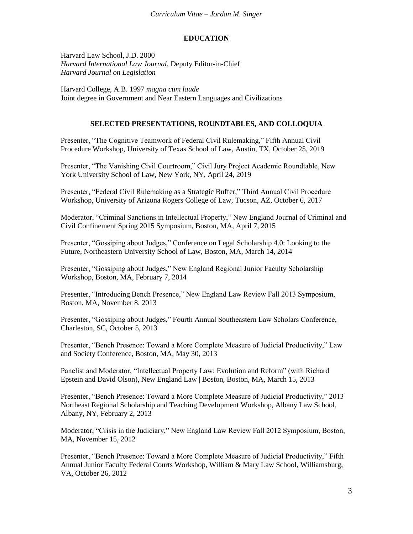# **EDUCATION**

Harvard Law School, J.D. 2000 *Harvard International Law Journal,* Deputy Editor-in-Chief *Harvard Journal on Legislation*

Harvard College, A.B. 1997 *magna cum laude* Joint degree in Government and Near Eastern Languages and Civilizations

### **SELECTED PRESENTATIONS, ROUNDTABLES, AND COLLOQUIA**

Presenter, "The Cognitive Teamwork of Federal Civil Rulemaking," Fifth Annual Civil Procedure Workshop, University of Texas School of Law, Austin, TX, October 25, 2019

Presenter, "The Vanishing Civil Courtroom," Civil Jury Project Academic Roundtable, New York University School of Law, New York, NY, April 24, 2019

Presenter, "Federal Civil Rulemaking as a Strategic Buffer," Third Annual Civil Procedure Workshop, University of Arizona Rogers College of Law, Tucson, AZ, October 6, 2017

Moderator, "Criminal Sanctions in Intellectual Property," New England Journal of Criminal and Civil Confinement Spring 2015 Symposium, Boston, MA, April 7, 2015

Presenter, "Gossiping about Judges," Conference on Legal Scholarship 4.0: Looking to the Future, Northeastern University School of Law, Boston, MA, March 14, 2014

Presenter, "Gossiping about Judges," New England Regional Junior Faculty Scholarship Workshop, Boston, MA, February 7, 2014

Presenter, "Introducing Bench Presence," New England Law Review Fall 2013 Symposium, Boston, MA, November 8, 2013

Presenter, "Gossiping about Judges," Fourth Annual Southeastern Law Scholars Conference, Charleston, SC, October 5, 2013

Presenter, "Bench Presence: Toward a More Complete Measure of Judicial Productivity," Law and Society Conference, Boston, MA, May 30, 2013

Panelist and Moderator, "Intellectual Property Law: Evolution and Reform" (with Richard Epstein and David Olson), New England Law | Boston, Boston, MA, March 15, 2013

Presenter, "Bench Presence: Toward a More Complete Measure of Judicial Productivity," 2013 Northeast Regional Scholarship and Teaching Development Workshop, Albany Law School, Albany, NY, February 2, 2013

Moderator, "Crisis in the Judiciary," New England Law Review Fall 2012 Symposium, Boston, MA, November 15, 2012

Presenter, "Bench Presence: Toward a More Complete Measure of Judicial Productivity," Fifth Annual Junior Faculty Federal Courts Workshop, William & Mary Law School, Williamsburg, VA, October 26, 2012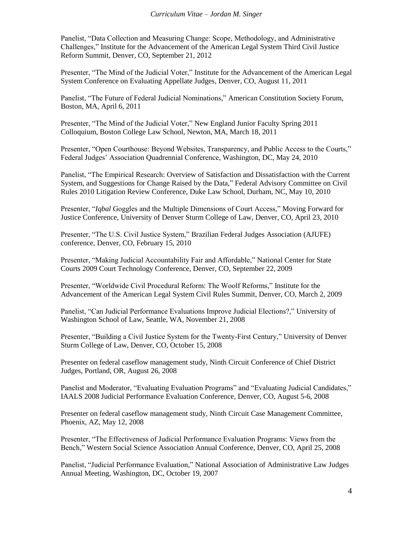Panelist, "Data Collection and Measuring Change: Scope, Methodology, and Administrative Challenges," Institute for the Advancement of the American Legal System Third Civil Justice Reform Summit, Denver, CO, September 21, 2012

Presenter, "The Mind of the Judicial Voter," Institute for the Advancement of the American Legal System Conference on Evaluating Appellate Judges, Denver, CO, August 11, 2011

Panelist, "The Future of Federal Judicial Nominations," American Constitution Society Forum, Boston, MA, April 6, 2011

Presenter, "The Mind of the Judicial Voter," New England Junior Faculty Spring 2011 Colloquium, Boston College Law School, Newton, MA, March 18, 2011

Presenter, "Open Courthouse: Beyond Websites, Transparency, and Public Access to the Courts," Federal Judges' Association Quadrennial Conference, Washington, DC, May 24, 2010

Panelist, "The Empirical Research: Overview of Satisfaction and Dissatisfaction with the Current System, and Suggestions for Change Raised by the Data," Federal Advisory Committee on Civil Rules 2010 Litigation Review Conference, Duke Law School, Durham, NC, May 10, 2010

Presenter, "*Iqbal* Goggles and the Multiple Dimensions of Court Access," Moving Forward for Justice Conference, University of Denver Sturm College of Law, Denver, CO, April 23, 2010

Presenter, "The U.S. Civil Justice System," Brazilian Federal Judges Association (AJUFE) conference, Denver, CO, February 15, 2010

Presenter, "Making Judicial Accountability Fair and Affordable," National Center for State Courts 2009 Court Technology Conference, Denver, CO, September 22, 2009

Presenter, "Worldwide Civil Procedural Reform: The Woolf Reforms," Institute for the Advancement of the American Legal System Civil Rules Summit, Denver, CO, March 2, 2009

Panelist, "Can Judicial Performance Evaluations Improve Judicial Elections?," University of Washington School of Law, Seattle, WA, November 21, 2008

Presenter, "Building a Civil Justice System for the Twenty-First Century," University of Denver Sturm College of Law, Denver, CO, October 15, 2008

Presenter on federal caseflow management study, Ninth Circuit Conference of Chief District Judges, Portland, OR, August 26, 2008

Panelist and Moderator, "Evaluating Evaluation Programs" and "Evaluating Judicial Candidates," IAALS 2008 Judicial Performance Evaluation Conference, Denver, CO, August 5-6, 2008

Presenter on federal caseflow management study, Ninth Circuit Case Management Committee, Phoenix, AZ, May 12, 2008

Presenter, "The Effectiveness of Judicial Performance Evaluation Programs: Views from the Bench," Western Social Science Association Annual Conference, Denver, CO, April 25, 2008

Panelist, "Judicial Performance Evaluation," National Association of Administrative Law Judges Annual Meeting, Washington, DC, October 19, 2007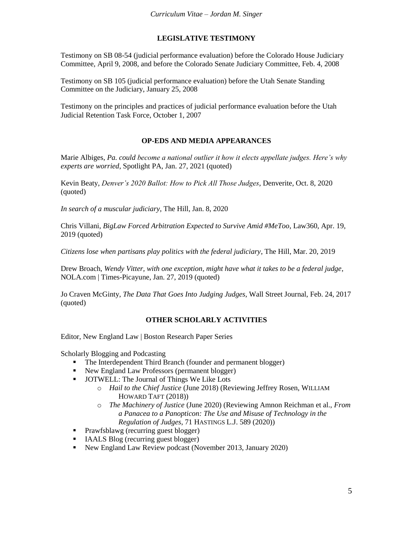## **LEGISLATIVE TESTIMONY**

Testimony on SB 08-54 (judicial performance evaluation) before the Colorado House Judiciary Committee, April 9, 2008, and before the Colorado Senate Judiciary Committee, Feb. 4, 2008

Testimony on SB 105 (judicial performance evaluation) before the Utah Senate Standing Committee on the Judiciary, January 25, 2008

Testimony on the principles and practices of judicial performance evaluation before the Utah Judicial Retention Task Force, October 1, 2007

### **OP-EDS AND MEDIA APPEARANCES**

Marie Albiges, *Pa. could become a national outlier it how it elects appellate judges. Here's why experts are worried*, Spotlight PA, Jan. 27, 2021 (quoted)

Kevin Beaty, *Denver's 2020 Ballot: How to Pick All Those Judges*, Denverite, Oct. 8, 2020 (quoted)

*In search of a muscular judiciary*, The Hill, Jan. 8, 2020

Chris Villani, *BigLaw Forced Arbitration Expected to Survive Amid #MeToo*, Law360, Apr. 19, 2019 (quoted)

*Citizens lose when partisans play politics with the federal judiciary*, The Hill, Mar. 20, 2019

Drew Broach, *Wendy Vitter, with one exception, might have what it takes to be a federal judge*, NOLA.com | Times-Picayune, Jan. 27, 2019 (quoted)

Jo Craven McGinty, *The Data That Goes Into Judging Judges*, Wall Street Journal, Feb. 24, 2017 (quoted)

#### **OTHER SCHOLARLY ACTIVITIES**

Editor, New England Law | Boston Research Paper Series

Scholarly Blogging and Podcasting

- The Interdependent Third Branch (founder and permanent blogger)
- New England Law Professors (permanent blogger)
- **JOTWELL:** The Journal of Things We Like Lots
	- o *Hail to the Chief Justice* (June 2018) (Reviewing Jeffrey Rosen, WILLIAM HOWARD TAFT (2018))
	- o *The Machinery of Justice* (June 2020) (Reviewing Amnon Reichman et al., *From a Panacea to a Panopticon: The Use and Misuse of Technology in the Regulation of Judges*, 71 HASTINGS L.J. 589 (2020))
- **Prawfsblawg (recurring guest blogger)**
- IAALS Blog (recurring guest blogger)
- New England Law Review podcast (November 2013, January 2020)